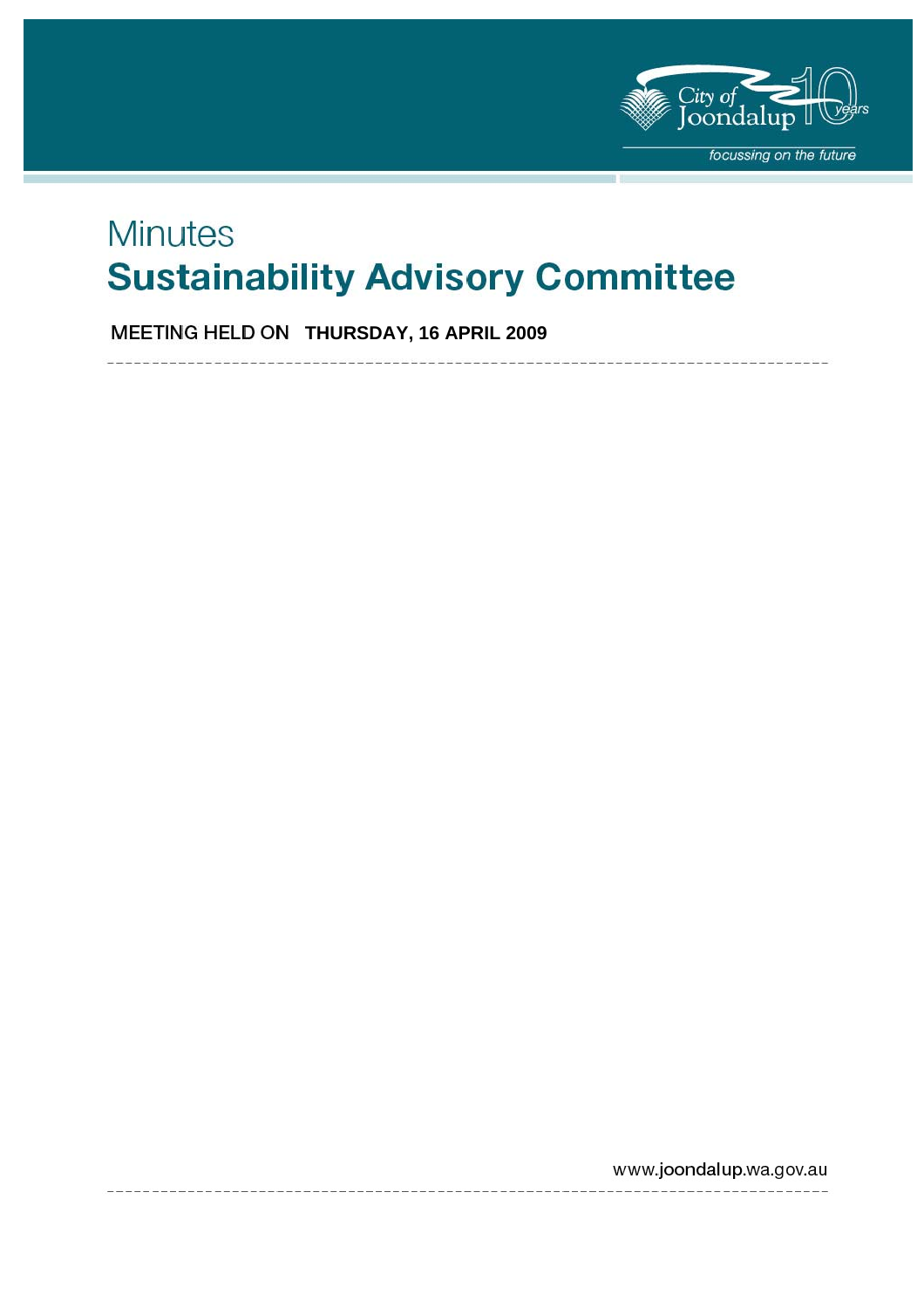

# **Minutes Sustainability Advisory Committee**

**MEETING HELD ON THURSDAY, 16 APRIL 2009** 

www.joondalup.wa.gov.au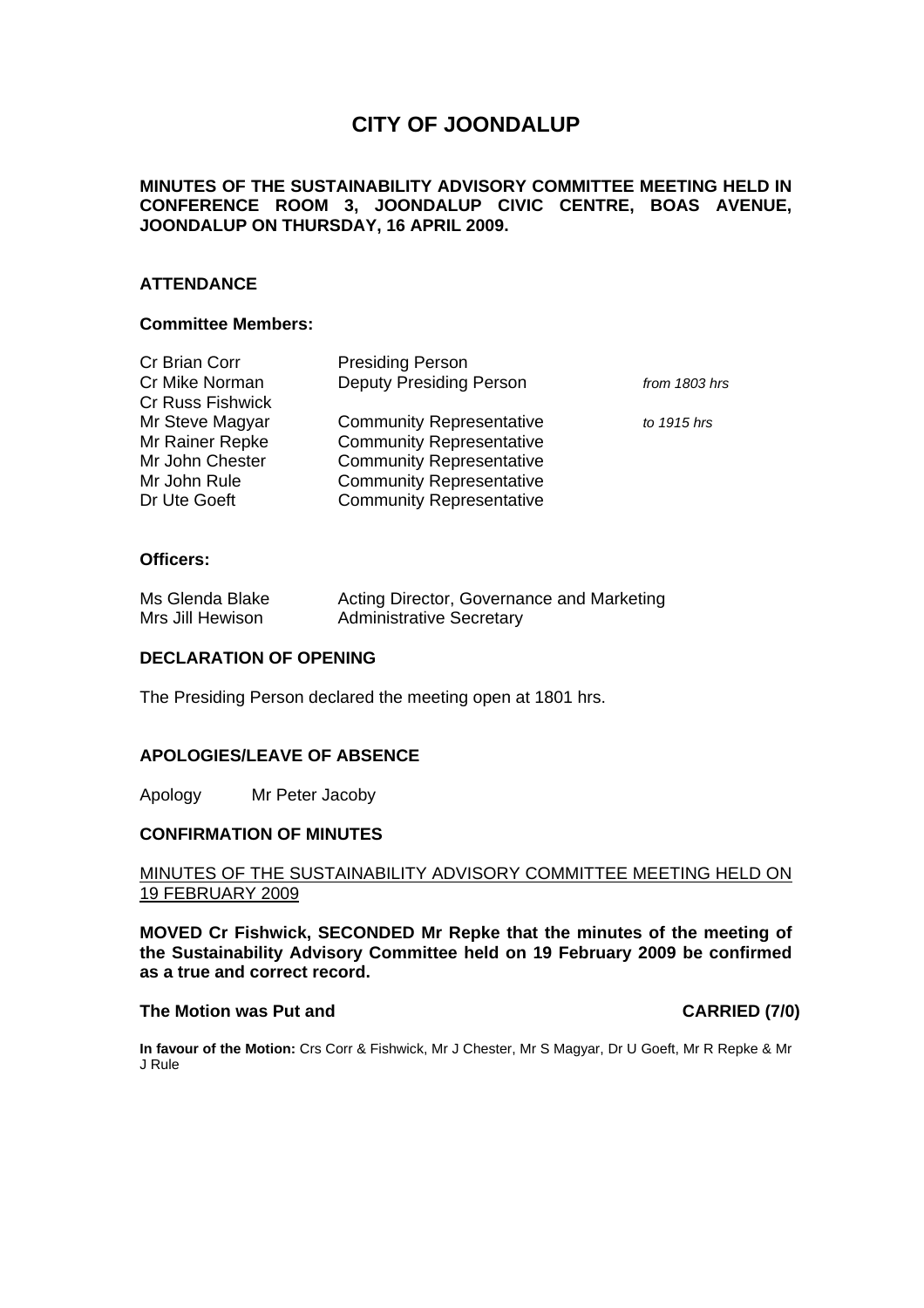# **CITY OF JOONDALUP**

### **MINUTES OF THE SUSTAINABILITY ADVISORY COMMITTEE MEETING HELD IN CONFERENCE ROOM 3, JOONDALUP CIVIC CENTRE, BOAS AVENUE, JOONDALUP ON THURSDAY, 16 APRIL 2009.**

### **ATTENDANCE**

#### **Committee Members:**

| Cr Brian Corr    | <b>Presiding Person</b>         |               |
|------------------|---------------------------------|---------------|
| Cr Mike Norman   | <b>Deputy Presiding Person</b>  | from 1803 hrs |
| Cr Russ Fishwick |                                 |               |
| Mr Steve Magyar  | <b>Community Representative</b> | to 1915 hrs   |
| Mr Rainer Repke  | <b>Community Representative</b> |               |
| Mr John Chester  | <b>Community Representative</b> |               |
| Mr John Rule     | <b>Community Representative</b> |               |
| Dr Ute Goeft     | <b>Community Representative</b> |               |
|                  |                                 |               |

#### **Officers:**

| Ms Glenda Blake  | Acting Director, Governance and Marketing |
|------------------|-------------------------------------------|
| Mrs Jill Hewison | <b>Administrative Secretary</b>           |

### **DECLARATION OF OPENING**

The Presiding Person declared the meeting open at 1801 hrs.

#### **APOLOGIES/LEAVE OF ABSENCE**

Apology Mr Peter Jacoby

#### **CONFIRMATION OF MINUTES**

### MINUTES OF THE SUSTAINABILITY ADVISORY COMMITTEE MEETING HELD ON 19 FEBRUARY 2009

**MOVED Cr Fishwick, SECONDED Mr Repke that the minutes of the meeting of the Sustainability Advisory Committee held on 19 February 2009 be confirmed as a true and correct record.** 

#### The Motion was Put and **CARRIED** (7/0)

**In favour of the Motion:** Crs Corr & Fishwick, Mr J Chester, Mr S Magyar, Dr U Goeft, Mr R Repke & Mr J Rule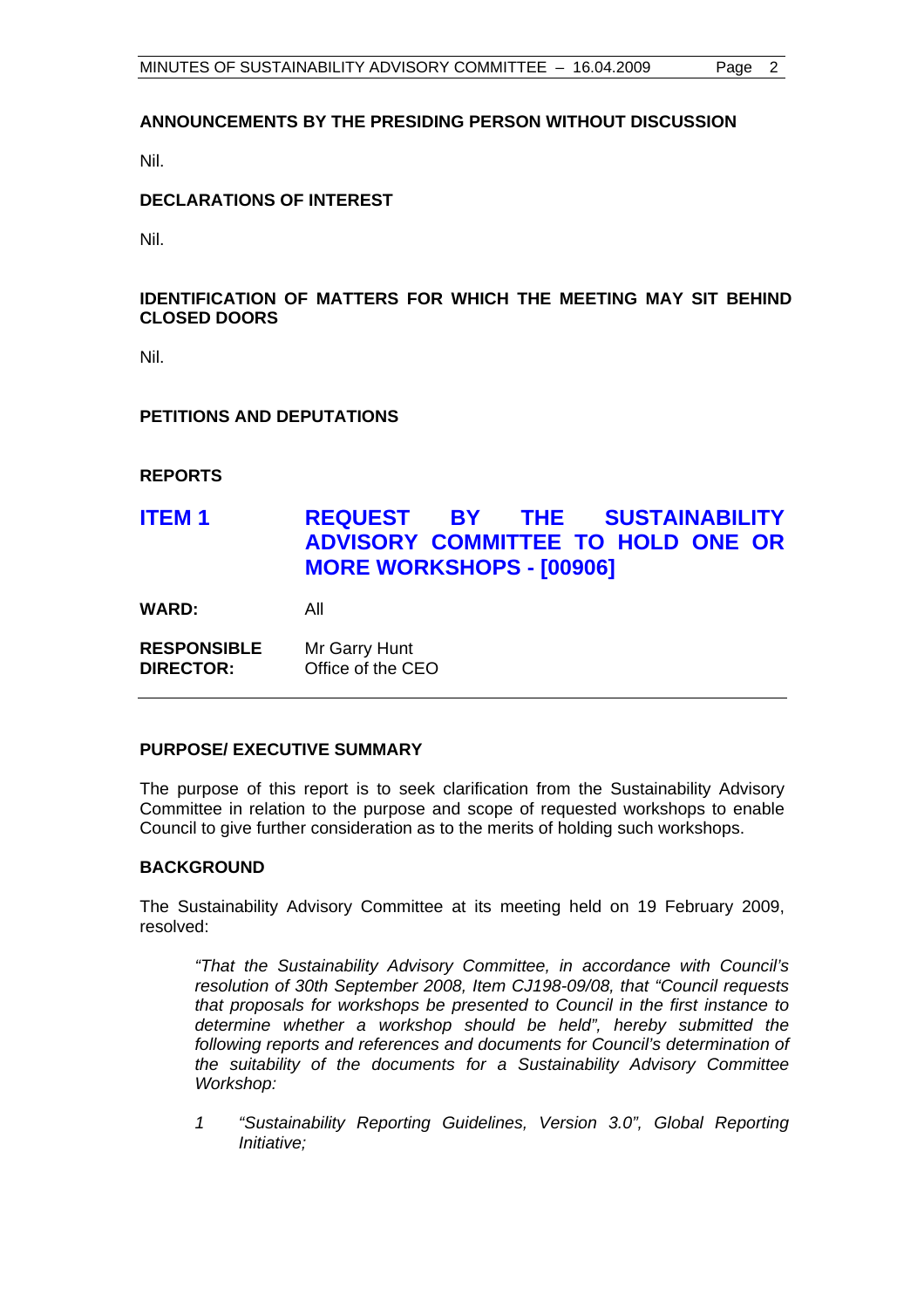### **ANNOUNCEMENTS BY THE PRESIDING PERSON WITHOUT DISCUSSION**

Nil.

### **DECLARATIONS OF INTEREST**

Nil.

### **IDENTIFICATION OF MATTERS FOR WHICH THE MEETING MAY SIT BEHIND CLOSED DOORS**

Nil.

### **PETITIONS AND DEPUTATIONS**

**REPORTS** 

# **ITEM 1 REQUEST BY THE SUSTAINABILITY ADVISORY COMMITTEE TO HOLD ONE OR MORE WORKSHOPS - [00906]**

**WARD:** All

| <b>RESPONSIBLE</b> | Mr Garry Hunt     |
|--------------------|-------------------|
| <b>DIRECTOR:</b>   | Office of the CEO |

#### **PURPOSE/ EXECUTIVE SUMMARY**

The purpose of this report is to seek clarification from the Sustainability Advisory Committee in relation to the purpose and scope of requested workshops to enable Council to give further consideration as to the merits of holding such workshops.

#### **BACKGROUND**

The Sustainability Advisory Committee at its meeting held on 19 February 2009, resolved:

*"That the Sustainability Advisory Committee, in accordance with Council's resolution of 30th September 2008, Item CJ198-09/08, that "Council requests that proposals for workshops be presented to Council in the first instance to determine whether a workshop should be held", hereby submitted the following reports and references and documents for Council's determination of the suitability of the documents for a Sustainability Advisory Committee Workshop:* 

*1 "Sustainability Reporting Guidelines, Version 3.0", Global Reporting Initiative;*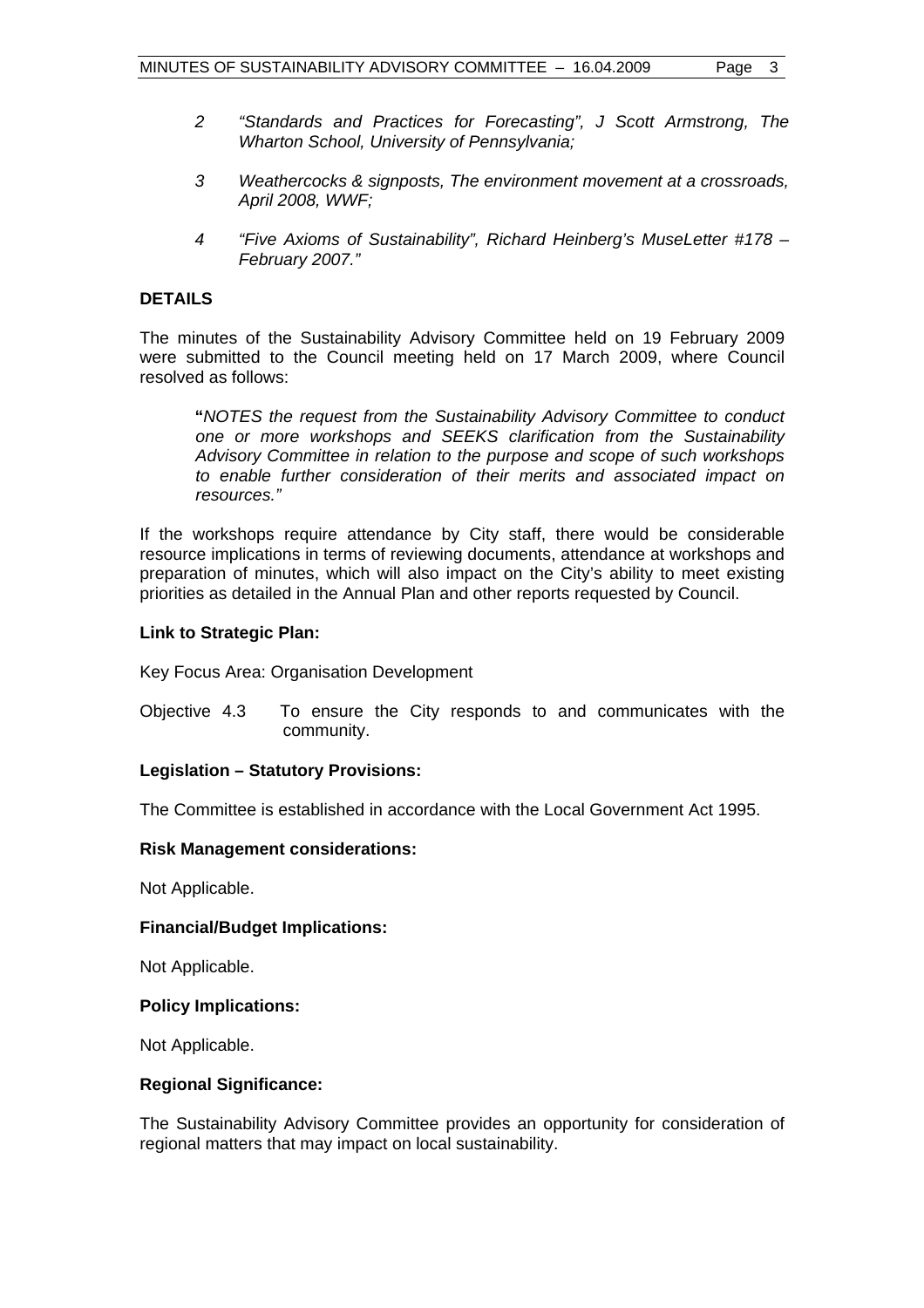- *2 "Standards and Practices for Forecasting", J Scott Armstrong, The Wharton School, University of Pennsylvania;*
- *3 Weathercocks & signposts, The environment movement at a crossroads, April 2008, WWF;*
- *4 "Five Axioms of Sustainability", Richard Heinberg's MuseLetter #178 February 2007."*

### **DETAILS**

The minutes of the Sustainability Advisory Committee held on 19 February 2009 were submitted to the Council meeting held on 17 March 2009, where Council resolved as follows:

 **"***NOTES the request from the Sustainability Advisory Committee to conduct one or more workshops and SEEKS clarification from the Sustainability Advisory Committee in relation to the purpose and scope of such workshops to enable further consideration of their merits and associated impact on resources."* 

If the workshops require attendance by City staff, there would be considerable resource implications in terms of reviewing documents, attendance at workshops and preparation of minutes, which will also impact on the City's ability to meet existing priorities as detailed in the Annual Plan and other reports requested by Council.

### **Link to Strategic Plan:**

Key Focus Area: Organisation Development

Objective 4.3 To ensure the City responds to and communicates with the community.

#### **Legislation – Statutory Provisions:**

The Committee is established in accordance with the Local Government Act 1995.

#### **Risk Management considerations:**

Not Applicable.

#### **Financial/Budget Implications:**

Not Applicable.

#### **Policy Implications:**

Not Applicable.

#### **Regional Significance:**

The Sustainability Advisory Committee provides an opportunity for consideration of regional matters that may impact on local sustainability.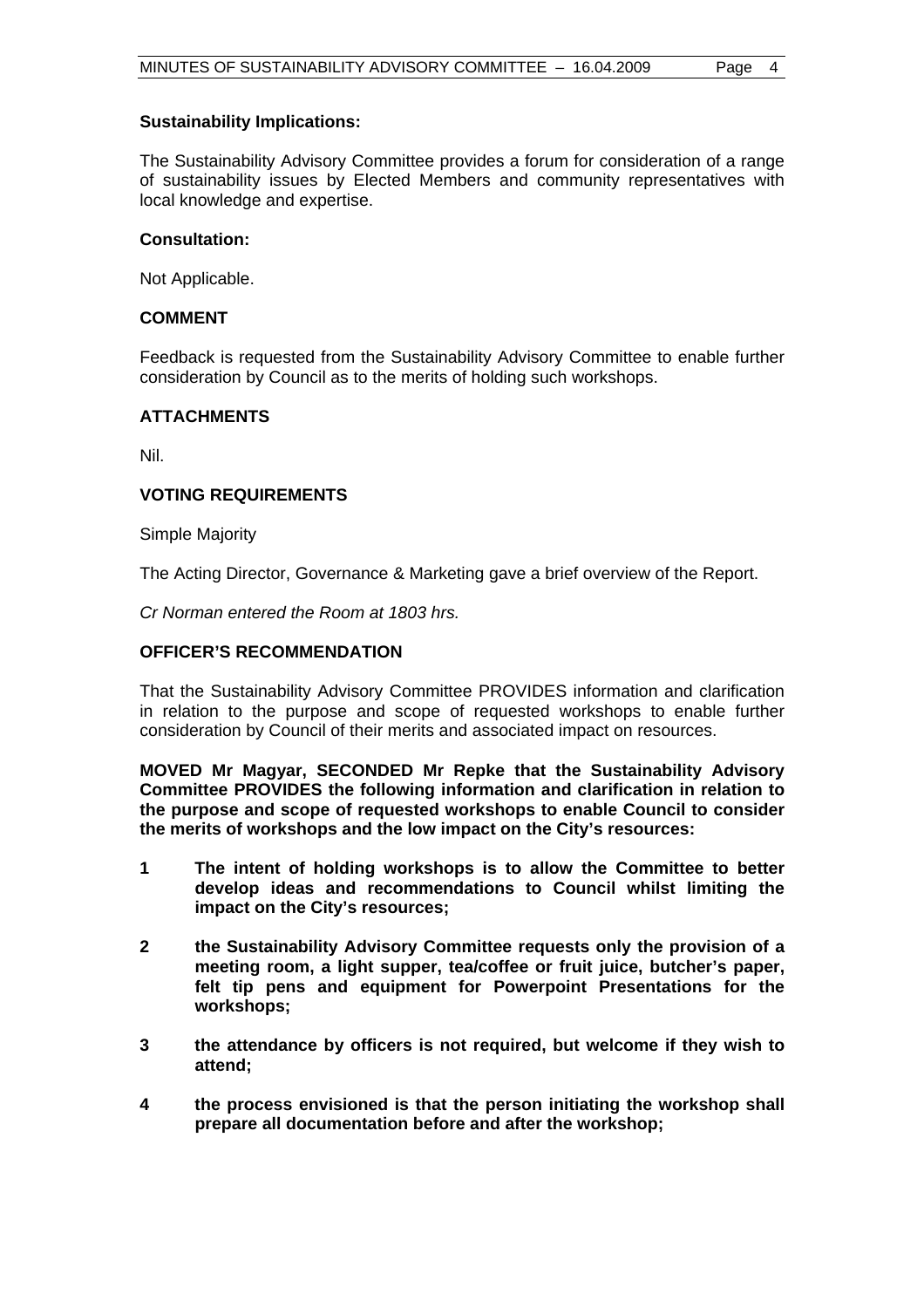#### **Sustainability Implications:**

The Sustainability Advisory Committee provides a forum for consideration of a range of sustainability issues by Elected Members and community representatives with local knowledge and expertise.

### **Consultation:**

Not Applicable.

### **COMMENT**

Feedback is requested from the Sustainability Advisory Committee to enable further consideration by Council as to the merits of holding such workshops.

### **ATTACHMENTS**

Nil.

### **VOTING REQUIREMENTS**

Simple Majority

The Acting Director, Governance & Marketing gave a brief overview of the Report.

*Cr Norman entered the Room at 1803 hrs.* 

### **OFFICER'S RECOMMENDATION**

That the Sustainability Advisory Committee PROVIDES information and clarification in relation to the purpose and scope of requested workshops to enable further consideration by Council of their merits and associated impact on resources.

**MOVED Mr Magyar, SECONDED Mr Repke that the Sustainability Advisory Committee PROVIDES the following information and clarification in relation to the purpose and scope of requested workshops to enable Council to consider the merits of workshops and the low impact on the City's resources:** 

- **1 The intent of holding workshops is to allow the Committee to better develop ideas and recommendations to Council whilst limiting the impact on the City's resources;**
- **2 the Sustainability Advisory Committee requests only the provision of a meeting room, a light supper, tea/coffee or fruit juice, butcher's paper, felt tip pens and equipment for Powerpoint Presentations for the workshops;**
- **3 the attendance by officers is not required, but welcome if they wish to attend;**
- **4 the process envisioned is that the person initiating the workshop shall prepare all documentation before and after the workshop;**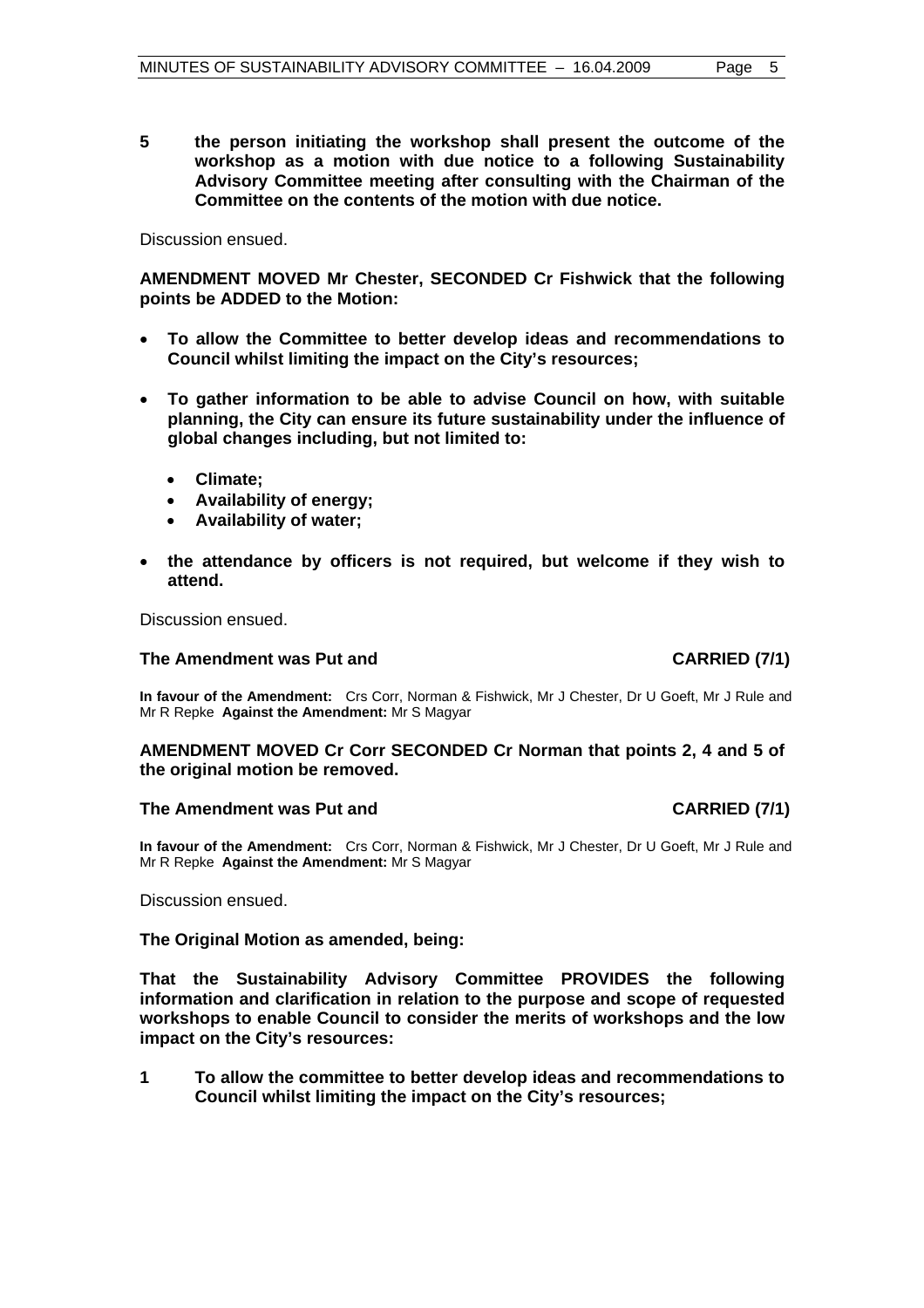**5 the person initiating the workshop shall present the outcome of the workshop as a motion with due notice to a following Sustainability Advisory Committee meeting after consulting with the Chairman of the Committee on the contents of the motion with due notice.** 

Discussion ensued.

**AMENDMENT MOVED Mr Chester, SECONDED Cr Fishwick that the following points be ADDED to the Motion:** 

- **To allow the Committee to better develop ideas and recommendations to Council whilst limiting the impact on the City's resources;**
- **To gather information to be able to advise Council on how, with suitable planning, the City can ensure its future sustainability under the influence of global changes including, but not limited to:** 
	- **Climate;**
	- **Availability of energy;**
	- **Availability of water;**
- **the attendance by officers is not required, but welcome if they wish to attend.**

Discussion ensued.

#### The Amendment was Put and **CARRIED** (7/1)

**In favour of the Amendment:** Crs Corr, Norman & Fishwick, Mr J Chester, Dr U Goeft, Mr J Rule and Mr R Repke **Against the Amendment:** Mr S Magyar

### **AMENDMENT MOVED Cr Corr SECONDED Cr Norman that points 2, 4 and 5 of the original motion be removed.**

#### The Amendment was Put and **CARRIED** (7/1)

**In favour of the Amendment:** Crs Corr, Norman & Fishwick, Mr J Chester, Dr U Goeft, Mr J Rule and Mr R Repke **Against the Amendment:** Mr S Magyar

Discussion ensued.

**The Original Motion as amended, being:** 

**That the Sustainability Advisory Committee PROVIDES the following information and clarification in relation to the purpose and scope of requested workshops to enable Council to consider the merits of workshops and the low impact on the City's resources:** 

**1 To allow the committee to better develop ideas and recommendations to Council whilst limiting the impact on the City's resources;**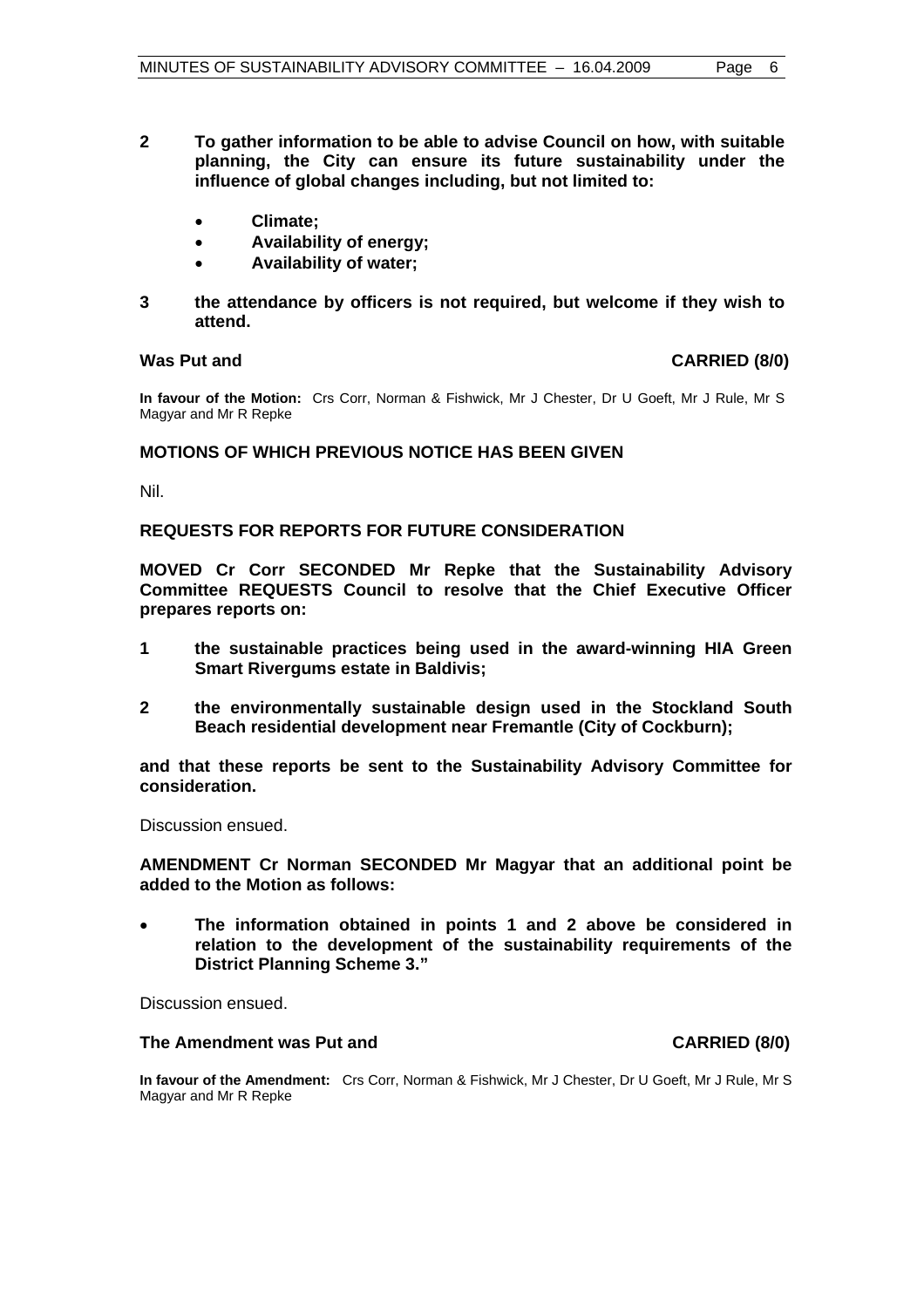- **2 To gather information to be able to advise Council on how, with suitable planning, the City can ensure its future sustainability under the influence of global changes including, but not limited to:** 
	- **Climate;**
	- **Availability of energy;**
	- **Availability of water;**
- **3 the attendance by officers is not required, but welcome if they wish to attend.**

#### Was Put and **CARRIED** (8/0)

**In favour of the Motion:** Crs Corr, Norman & Fishwick, Mr J Chester, Dr U Goeft, Mr J Rule, Mr S Magyar and Mr R Repke

### **MOTIONS OF WHICH PREVIOUS NOTICE HAS BEEN GIVEN**

Nil.

#### **REQUESTS FOR REPORTS FOR FUTURE CONSIDERATION**

**MOVED Cr Corr SECONDED Mr Repke that the Sustainability Advisory Committee REQUESTS Council to resolve that the Chief Executive Officer prepares reports on:** 

- **1 the sustainable practices being used in the award-winning HIA Green Smart Rivergums estate in Baldivis;**
- **2 the environmentally sustainable design used in the Stockland South Beach residential development near Fremantle (City of Cockburn);**

**and that these reports be sent to the Sustainability Advisory Committee for consideration.** 

Discussion ensued.

**AMENDMENT Cr Norman SECONDED Mr Magyar that an additional point be added to the Motion as follows:** 

• **The information obtained in points 1 and 2 above be considered in relation to the development of the sustainability requirements of the District Planning Scheme 3."** 

Discussion ensued.

#### **The Amendment was Put and CARRIED (8/0) CARRIED (8/0)**

**In favour of the Amendment:** Crs Corr, Norman & Fishwick, Mr J Chester, Dr U Goeft, Mr J Rule, Mr S Magyar and Mr R Repke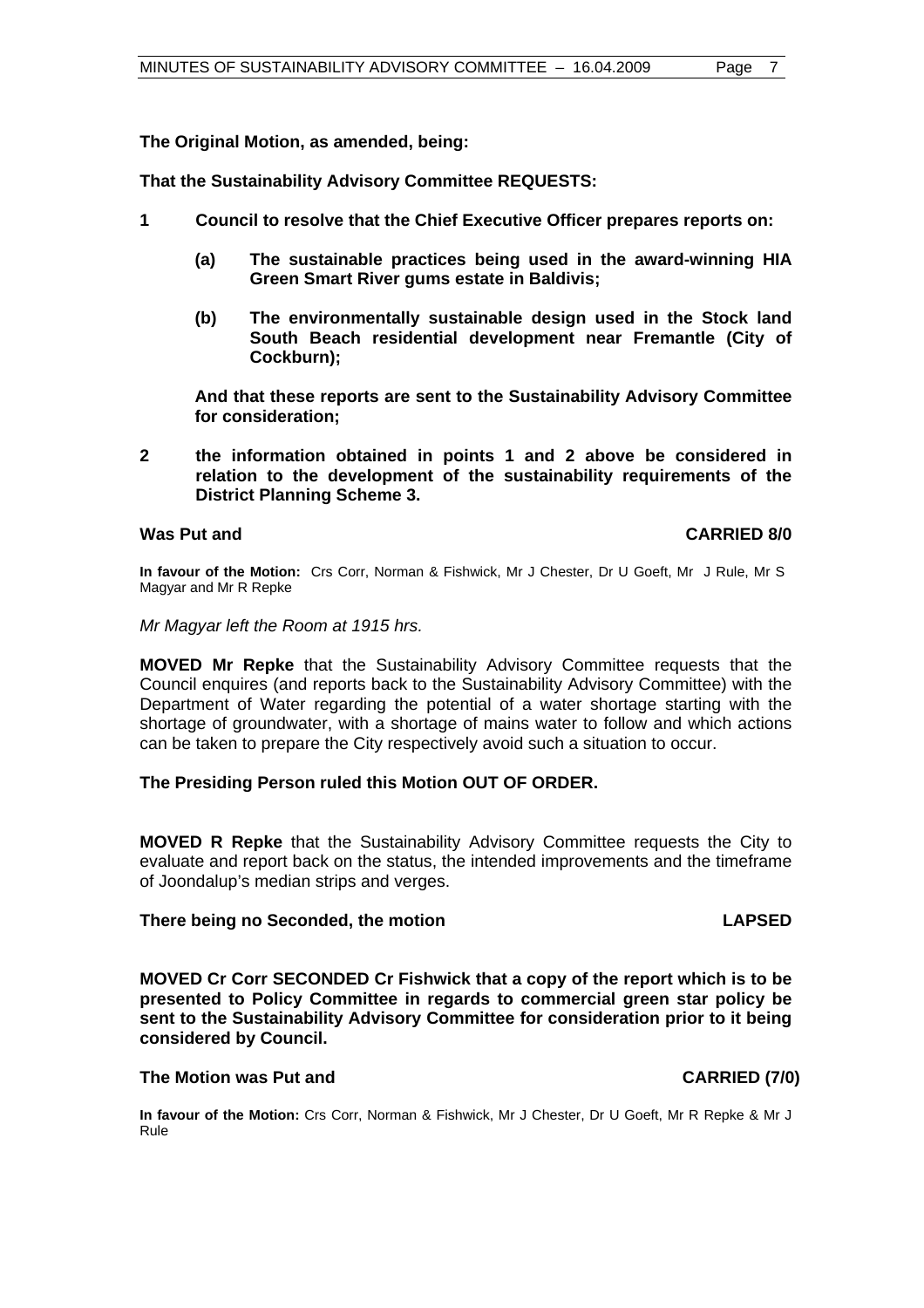**The Original Motion, as amended, being:** 

**That the Sustainability Advisory Committee REQUESTS:** 

- **1 Council to resolve that the Chief Executive Officer prepares reports on:** 
	- **(a) The sustainable practices being used in the award-winning HIA Green Smart River gums estate in Baldivis;**
	- **(b) The environmentally sustainable design used in the Stock land South Beach residential development near Fremantle (City of Cockburn);**

**And that these reports are sent to the Sustainability Advisory Committee for consideration;** 

**2 the information obtained in points 1 and 2 above be considered in relation to the development of the sustainability requirements of the District Planning Scheme 3.** 

#### **Was Put and CARRIED 8/0**

**In favour of the Motion:** Crs Corr, Norman & Fishwick, Mr J Chester, Dr U Goeft, Mr J Rule, Mr S Magyar and Mr R Repke

*Mr Magyar left the Room at 1915 hrs.* 

**MOVED Mr Repke** that the Sustainability Advisory Committee requests that the Council enquires (and reports back to the Sustainability Advisory Committee) with the Department of Water regarding the potential of a water shortage starting with the shortage of groundwater, with a shortage of mains water to follow and which actions can be taken to prepare the City respectively avoid such a situation to occur.

#### **The Presiding Person ruled this Motion OUT OF ORDER.**

**MOVED R Repke** that the Sustainability Advisory Committee requests the City to evaluate and report back on the status, the intended improvements and the timeframe of Joondalup's median strips and verges.

#### **There being no Seconded, the motion LAPSED**

**MOVED Cr Corr SECONDED Cr Fishwick that a copy of the report which is to be presented to Policy Committee in regards to commercial green star policy be sent to the Sustainability Advisory Committee for consideration prior to it being considered by Council.** 

#### The Motion was Put and **CARRIED** (7/0)

**In favour of the Motion:** Crs Corr, Norman & Fishwick, Mr J Chester, Dr U Goeft, Mr R Repke & Mr J Rule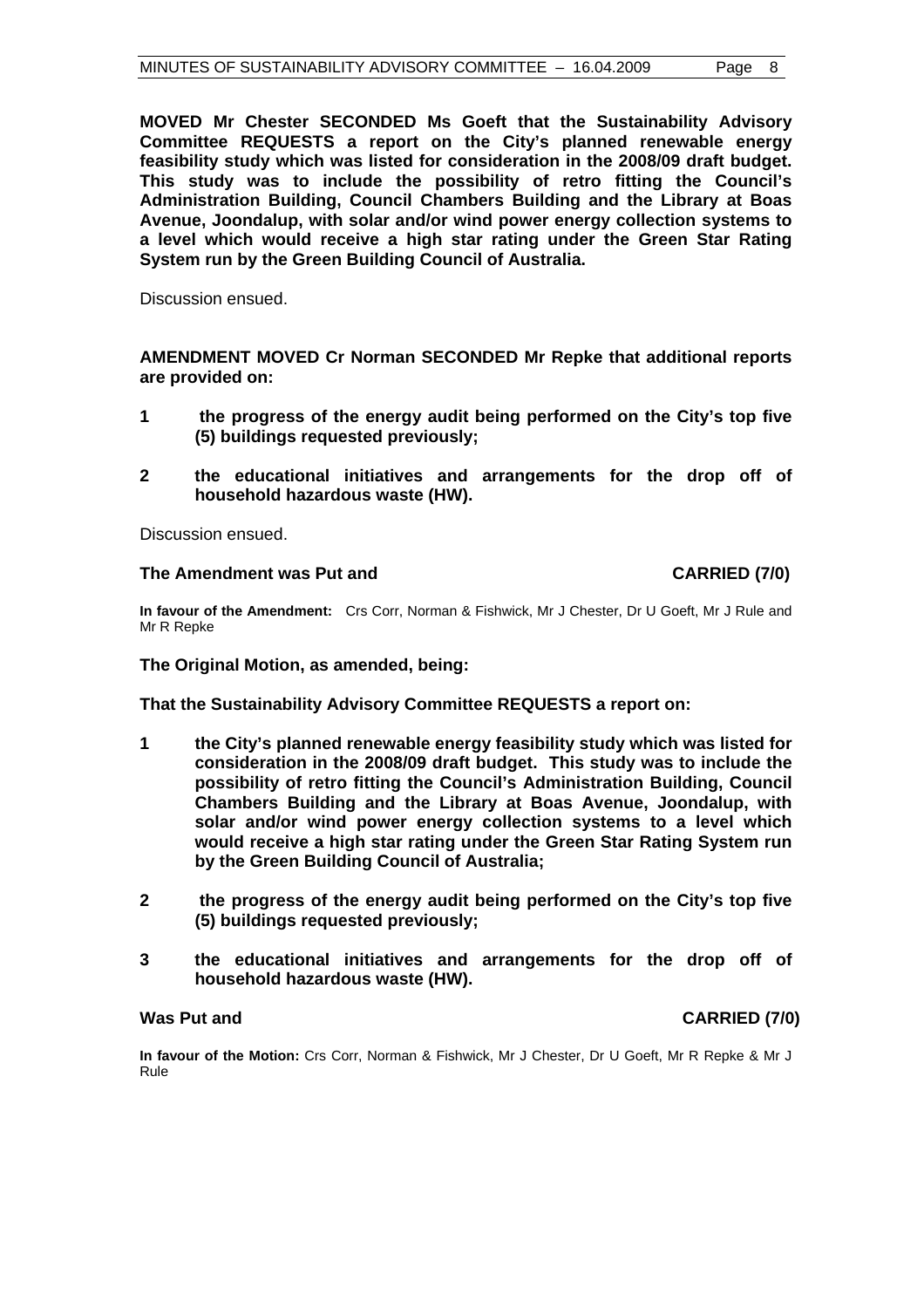**MOVED Mr Chester SECONDED Ms Goeft that the Sustainability Advisory Committee REQUESTS a report on the City's planned renewable energy feasibility study which was listed for consideration in the 2008/09 draft budget. This study was to include the possibility of retro fitting the Council's Administration Building, Council Chambers Building and the Library at Boas Avenue, Joondalup, with solar and/or wind power energy collection systems to a level which would receive a high star rating under the Green Star Rating System run by the Green Building Council of Australia.** 

Discussion ensued.

**AMENDMENT MOVED Cr Norman SECONDED Mr Repke that additional reports are provided on:** 

- **1 the progress of the energy audit being performed on the City's top five (5) buildings requested previously;**
- **2 the educational initiatives and arrangements for the drop off of household hazardous waste (HW).**

Discussion ensued.

#### **The Amendment was Put and CARRIED (7/0)**

**In favour of the Amendment:** Crs Corr, Norman & Fishwick, Mr J Chester, Dr U Goeft, Mr J Rule and Mr R Repke

**The Original Motion, as amended, being:** 

**That the Sustainability Advisory Committee REQUESTS a report on:** 

- **1 the City's planned renewable energy feasibility study which was listed for consideration in the 2008/09 draft budget. This study was to include the possibility of retro fitting the Council's Administration Building, Council Chambers Building and the Library at Boas Avenue, Joondalup, with solar and/or wind power energy collection systems to a level which would receive a high star rating under the Green Star Rating System run by the Green Building Council of Australia;**
- **2 the progress of the energy audit being performed on the City's top five (5) buildings requested previously;**
- **3 the educational initiatives and arrangements for the drop off of household hazardous waste (HW).**

Was Put and **CARRIED** (7/0)

**In favour of the Motion:** Crs Corr, Norman & Fishwick, Mr J Chester, Dr U Goeft, Mr R Repke & Mr J Rule